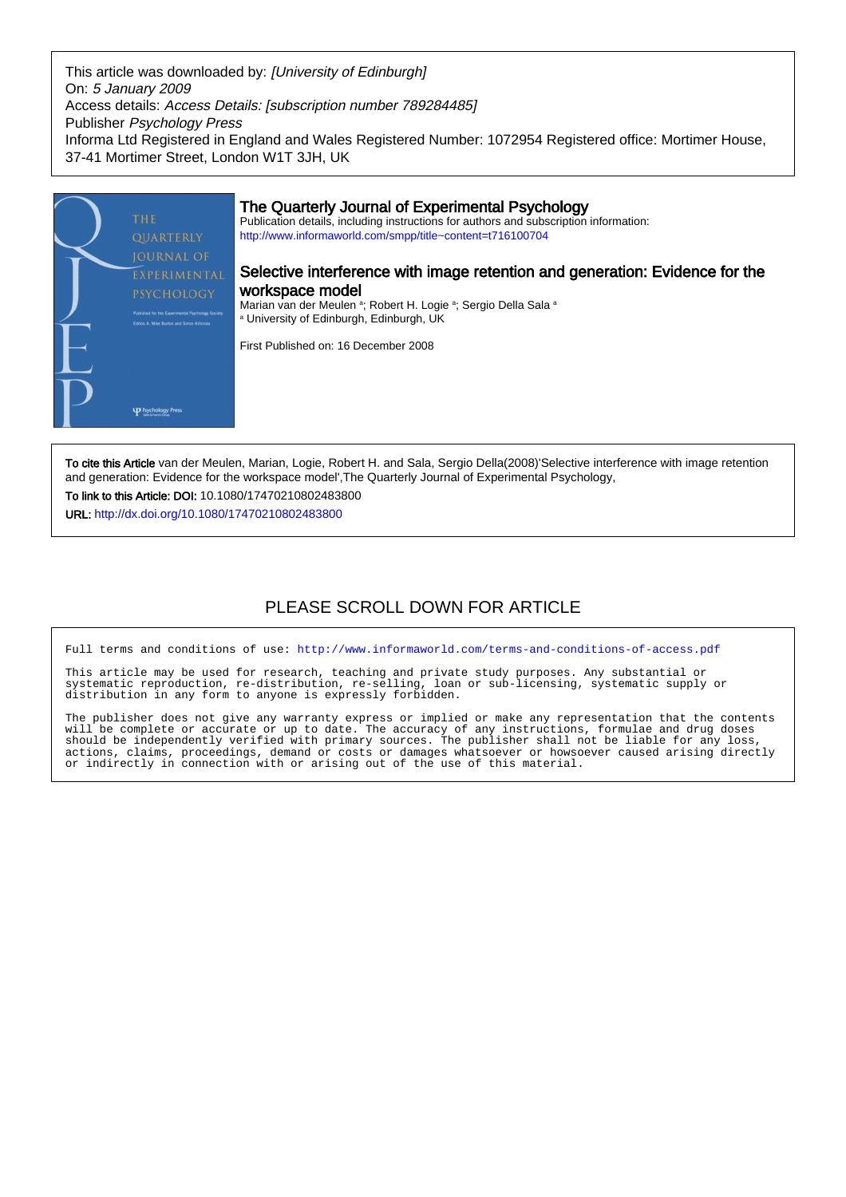This article was downloaded by: [University of Edinburgh] On: 5 January 2009 Access details: Access Details: [subscription number 789284485] Publisher Psychology Press Informa Ltd Registered in England and Wales Registered Number: 1072954 Registered office: Mortimer House, 37-41 Mortimer Street, London W1T 3JH, UK



To cite this Article van der Meulen, Marian, Logie, Robert H. and Sala, Sergio Della(2008)'Selective interference with image retention and generation: Evidence for the workspace model',The Quarterly Journal of Experimental Psychology,

To link to this Article: DOI: 10.1080/17470210802483800

URL: <http://dx.doi.org/10.1080/17470210802483800>

# PLEASE SCROLL DOWN FOR ARTICLE

Full terms and conditions of use:<http://www.informaworld.com/terms-and-conditions-of-access.pdf>

This article may be used for research, teaching and private study purposes. Any substantial or systematic reproduction, re-distribution, re-selling, loan or sub-licensing, systematic supply or distribution in any form to anyone is expressly forbidden.

The publisher does not give any warranty express or implied or make any representation that the contents will be complete or accurate or up to date. The accuracy of any instructions, formulae and drug doses should be independently verified with primary sources. The publisher shall not be liable for any loss, actions, claims, proceedings, demand or costs or damages whatsoever or howsoever caused arising directly or indirectly in connection with or arising out of the use of this material.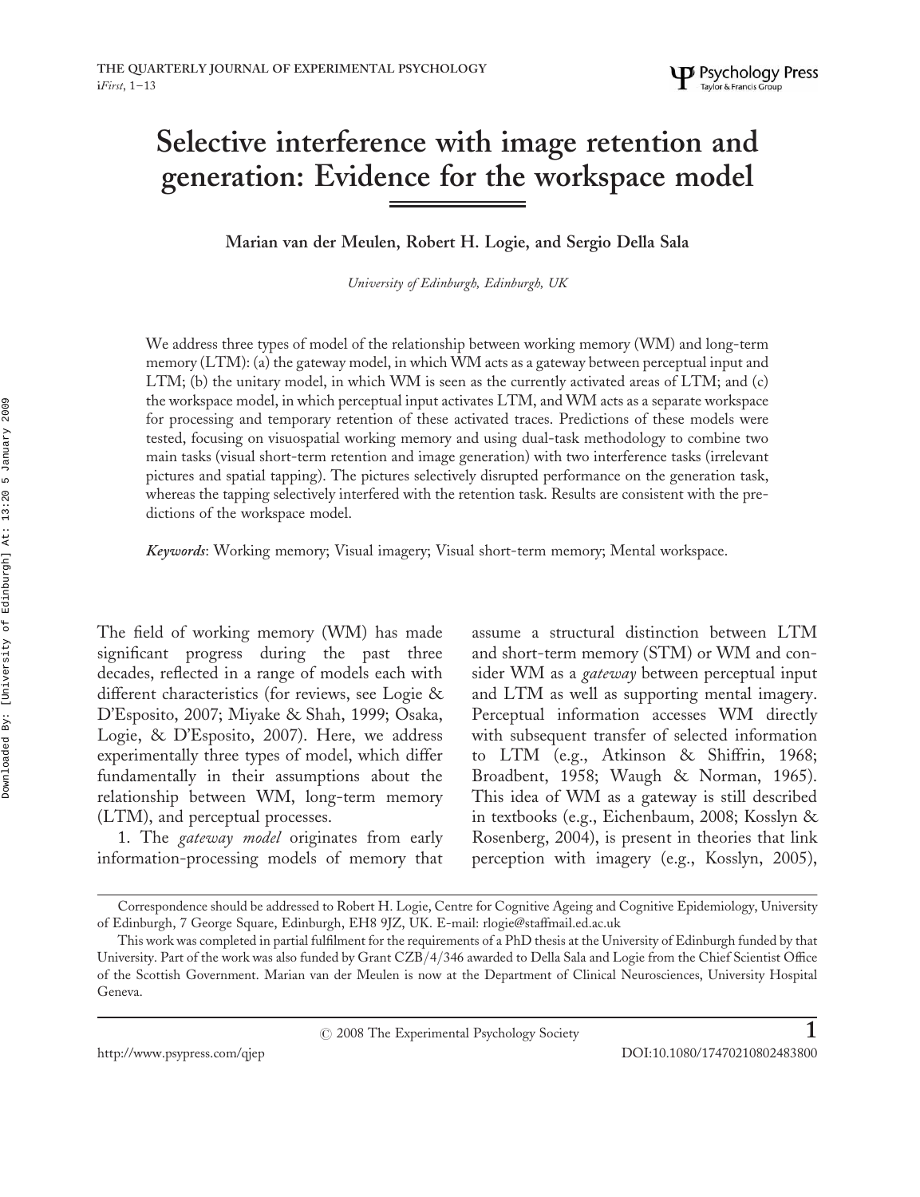# Selective interference with image retention and generation: Evidence for the workspace model

Marian van der Meulen, Robert H. Logie, and Sergio Della Sala

University of Edinburgh, Edinburgh, UK

We address three types of model of the relationship between working memory (WM) and long-term memory (LTM): (a) the gateway model, in which WM acts as a gateway between perceptual input and LTM; (b) the unitary model, in which WM is seen as the currently activated areas of LTM; and (c) the workspace model, in which perceptual input activates LTM, and WM acts as a separate workspace for processing and temporary retention of these activated traces. Predictions of these models were tested, focusing on visuospatial working memory and using dual-task methodology to combine two main tasks (visual short-term retention and image generation) with two interference tasks (irrelevant pictures and spatial tapping). The pictures selectively disrupted performance on the generation task, whereas the tapping selectively interfered with the retention task. Results are consistent with the predictions of the workspace model.

Keywords: Working memory; Visual imagery; Visual short-term memory; Mental workspace.

The field of working memory (WM) has made significant progress during the past three decades, reflected in a range of models each with different characteristics (for reviews, see Logie & D'Esposito, 2007; Miyake & Shah, 1999; Osaka, Logie, & D'Esposito, 2007). Here, we address experimentally three types of model, which differ fundamentally in their assumptions about the relationship between WM, long-term memory (LTM), and perceptual processes.

1. The *gateway model* originates from early information-processing models of memory that

assume a structural distinction between LTM and short-term memory (STM) or WM and consider WM as a *gateway* between perceptual input and LTM as well as supporting mental imagery. Perceptual information accesses WM directly with subsequent transfer of selected information to LTM (e.g., Atkinson & Shiffrin, 1968; Broadbent, 1958; Waugh & Norman, 1965). This idea of WM as a gateway is still described in textbooks (e.g., Eichenbaum, 2008; Kosslyn & Rosenberg, 2004), is present in theories that link perception with imagery (e.g., Kosslyn, 2005),

Correspondence should be addressed to Robert H. Logie, Centre for Cognitive Ageing and Cognitive Epidemiology, University of Edinburgh, 7 George Square, Edinburgh, EH8 9JZ, UK. E-mail: rlogie@staffmail.ed.ac.uk

This work was completed in partial fulfilment for the requirements of a PhD thesis at the University of Edinburgh funded by that University. Part of the work was also funded by Grant CZB/4/346 awarded to Della Sala and Logie from the Chief Scientist Office of the Scottish Government. Marian van der Meulen is now at the Department of Clinical Neurosciences, University Hospital Geneva.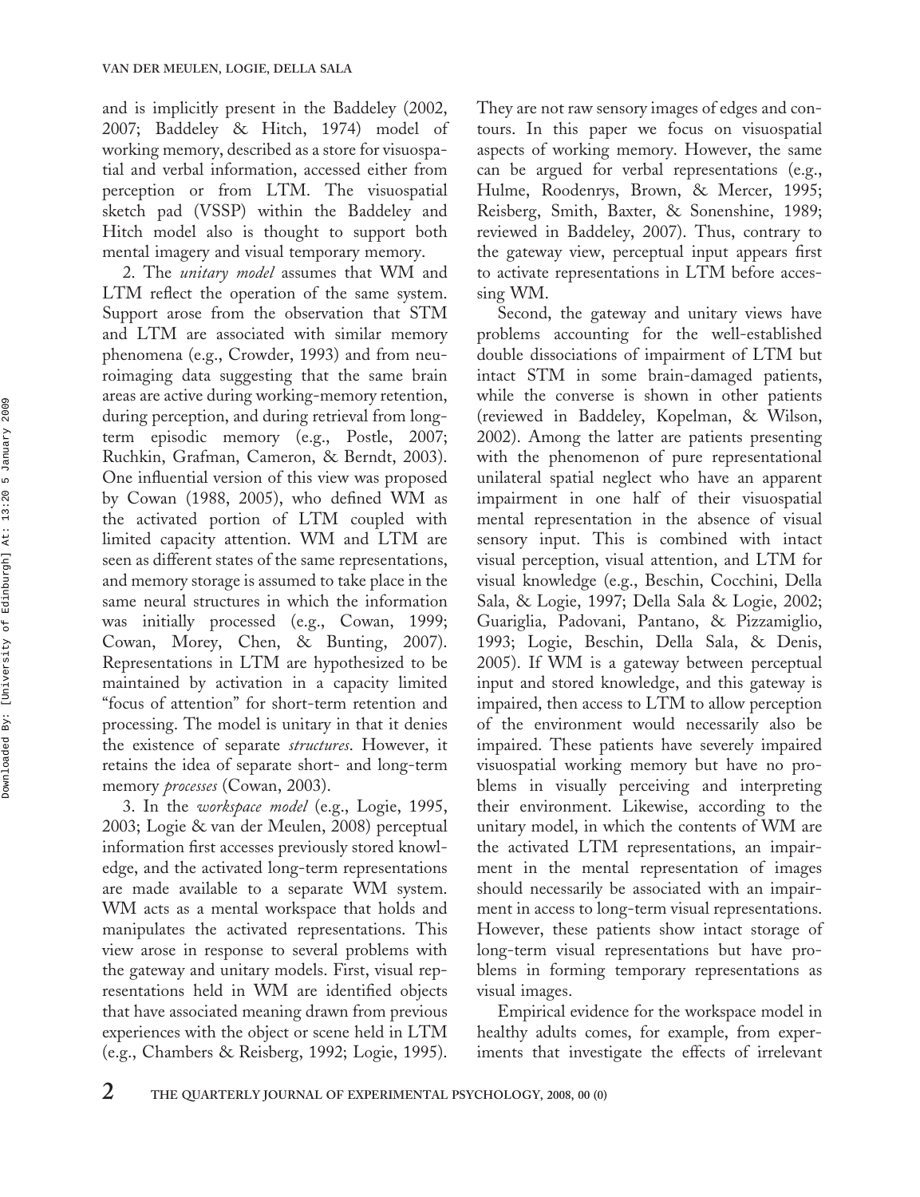and is implicitly present in the Baddeley (2002, 2007; Baddeley & Hitch, 1974) model of working memory, described as a store for visuospatial and verbal information, accessed either from perception or from LTM. The visuospatial sketch pad (VSSP) within the Baddeley and Hitch model also is thought to support both mental imagery and visual temporary memory.

2. The *unitary model* assumes that WM and LTM reflect the operation of the same system. Support arose from the observation that STM and LTM are associated with similar memory phenomena (e.g., Crowder, 1993) and from neuroimaging data suggesting that the same brain areas are active during working-memory retention, during perception, and during retrieval from longterm episodic memory (e.g., Postle, 2007; Ruchkin, Grafman, Cameron, & Berndt, 2003). One influential version of this view was proposed by Cowan (1988, 2005), who defined WM as the activated portion of LTM coupled with limited capacity attention. WM and LTM are seen as different states of the same representations, and memory storage is assumed to take place in the same neural structures in which the information was initially processed (e.g., Cowan, 1999; Cowan, Morey, Chen, & Bunting, 2007). Representations in LTM are hypothesized to be maintained by activation in a capacity limited "focus of attention" for short-term retention and processing. The model is unitary in that it denies the existence of separate structures. However, it retains the idea of separate short- and long-term memory *processes* (Cowan, 2003).

3. In the workspace model (e.g., Logie, 1995, 2003; Logie & van der Meulen, 2008) perceptual information first accesses previously stored knowledge, and the activated long-term representations are made available to a separate WM system. WM acts as a mental workspace that holds and manipulates the activated representations. This view arose in response to several problems with the gateway and unitary models. First, visual representations held in WM are identified objects that have associated meaning drawn from previous experiences with the object or scene held in LTM (e.g., Chambers & Reisberg, 1992; Logie, 1995).

They are not raw sensory images of edges and contours. In this paper we focus on visuospatial aspects of working memory. However, the same can be argued for verbal representations (e.g., Hulme, Roodenrys, Brown, & Mercer, 1995; Reisberg, Smith, Baxter, & Sonenshine, 1989; reviewed in Baddeley, 2007). Thus, contrary to the gateway view, perceptual input appears first to activate representations in LTM before accessing WM.

Second, the gateway and unitary views have problems accounting for the well-established double dissociations of impairment of LTM but intact STM in some brain-damaged patients, while the converse is shown in other patients (reviewed in Baddeley, Kopelman, & Wilson, 2002). Among the latter are patients presenting with the phenomenon of pure representational unilateral spatial neglect who have an apparent impairment in one half of their visuospatial mental representation in the absence of visual sensory input. This is combined with intact visual perception, visual attention, and LTM for visual knowledge (e.g., Beschin, Cocchini, Della Sala, & Logie, 1997; Della Sala & Logie, 2002; Guariglia, Padovani, Pantano, & Pizzamiglio, 1993; Logie, Beschin, Della Sala, & Denis, 2005). If WM is a gateway between perceptual input and stored knowledge, and this gateway is impaired, then access to LTM to allow perception of the environment would necessarily also be impaired. These patients have severely impaired visuospatial working memory but have no problems in visually perceiving and interpreting their environment. Likewise, according to the unitary model, in which the contents of WM are the activated LTM representations, an impairment in the mental representation of images should necessarily be associated with an impairment in access to long-term visual representations. However, these patients show intact storage of long-term visual representations but have problems in forming temporary representations as visual images.

Empirical evidence for the workspace model in healthy adults comes, for example, from experiments that investigate the effects of irrelevant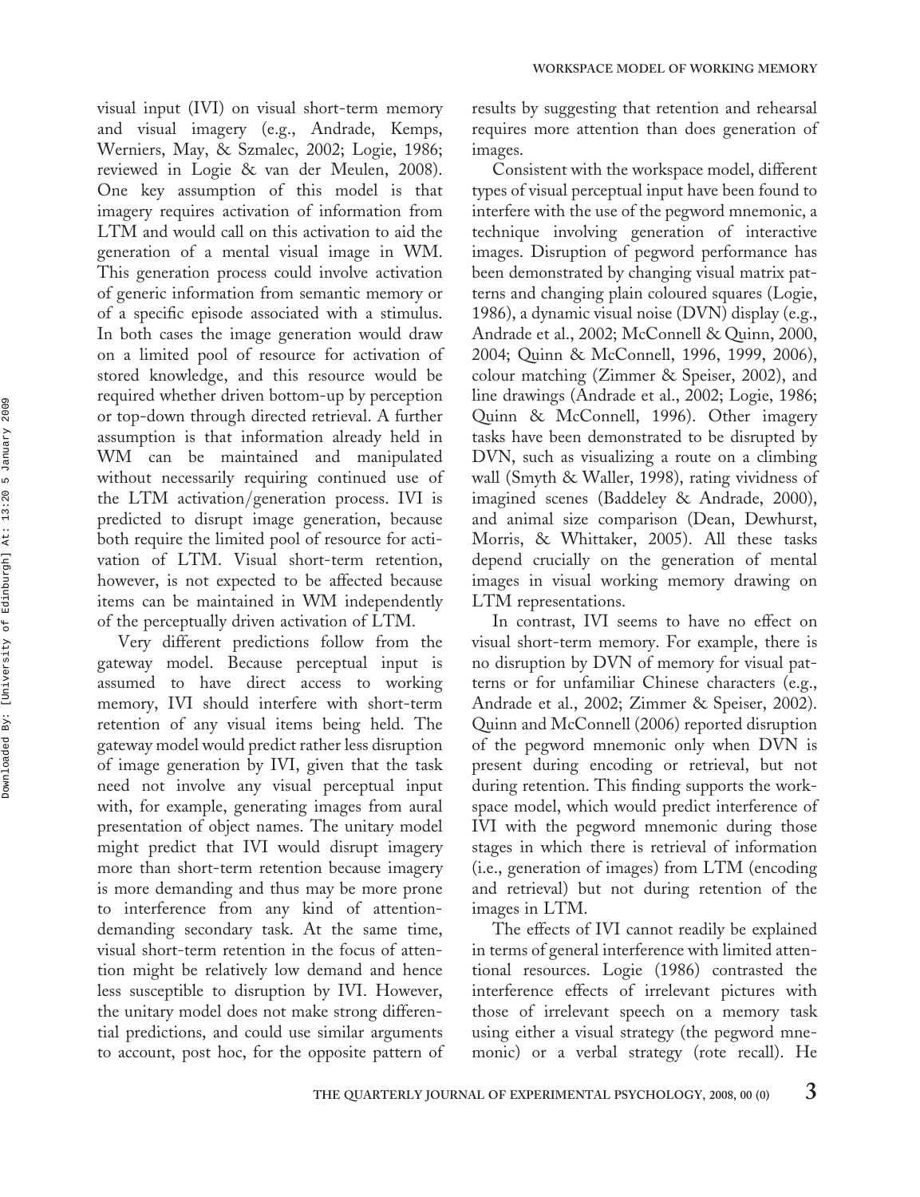visual input (IVI) on visual short-term memory and visual imagery (e.g., Andrade, Kemps, Werniers, May, & Szmalec, 2002; Logie, 1986; reviewed in Logie & van der Meulen, 2008). One key assumption of this model is that imagery requires activation of information from LTM and would call on this activation to aid the generation of a mental visual image in WM. This generation process could involve activation of generic information from semantic memory or of a specific episode associated with a stimulus. In both cases the image generation would draw on a limited pool of resource for activation of stored knowledge, and this resource would be required whether driven bottom-up by perception or top-down through directed retrieval. A further assumption is that information already held in WM can be maintained and manipulated without necessarily requiring continued use of the LTM activation/generation process. IVI is predicted to disrupt image generation, because both require the limited pool of resource for activation of LTM. Visual short-term retention, however, is not expected to be affected because items can be maintained in WM independently of the perceptually driven activation of LTM.

Very different predictions follow from the gateway model. Because perceptual input is assumed to have direct access to working memory, IVI should interfere with short-term retention of any visual items being held. The gateway model would predict rather less disruption of image generation by IVI, given that the task need not involve any visual perceptual input with, for example, generating images from aural presentation of object names. The unitary model might predict that IVI would disrupt imagery more than short-term retention because imagery is more demanding and thus may be more prone to interference from any kind of attentiondemanding secondary task. At the same time, visual short-term retention in the focus of attention might be relatively low demand and hence less susceptible to disruption by IVI. However, the unitary model does not make strong differential predictions, and could use similar arguments to account, post hoc, for the opposite pattern of results by suggesting that retention and rehearsal requires more attention than does generation of images.

Consistent with the workspace model, different types of visual perceptual input have been found to interfere with the use of the pegword mnemonic, a technique involving generation of interactive images. Disruption of pegword performance has been demonstrated by changing visual matrix patterns and changing plain coloured squares (Logie, 1986), a dynamic visual noise (DVN) display (e.g., Andrade et al., 2002; McConnell & Quinn, 2000, 2004; Quinn & McConnell, 1996, 1999, 2006), colour matching (Zimmer & Speiser, 2002), and line drawings (Andrade et al., 2002; Logie, 1986; Quinn & McConnell, 1996). Other imagery tasks have been demonstrated to be disrupted by DVN, such as visualizing a route on a climbing wall (Smyth & Waller, 1998), rating vividness of imagined scenes (Baddeley & Andrade, 2000), and animal size comparison (Dean, Dewhurst, Morris, & Whittaker, 2005). All these tasks depend crucially on the generation of mental images in visual working memory drawing on LTM representations.

In contrast, IVI seems to have no effect on visual short-term memory. For example, there is no disruption by DVN of memory for visual patterns or for unfamiliar Chinese characters (e.g., Andrade et al., 2002; Zimmer & Speiser, 2002). Quinn and McConnell (2006) reported disruption of the pegword mnemonic only when DVN is present during encoding or retrieval, but not during retention. This finding supports the workspace model, which would predict interference of IVI with the pegword mnemonic during those stages in which there is retrieval of information (i.e., generation of images) from LTM (encoding and retrieval) but not during retention of the images in LTM.

The effects of IVI cannot readily be explained in terms of general interference with limited attentional resources. Logie (1986) contrasted the interference effects of irrelevant pictures with those of irrelevant speech on a memory task using either a visual strategy (the pegword mnemonic) or a verbal strategy (rote recall). He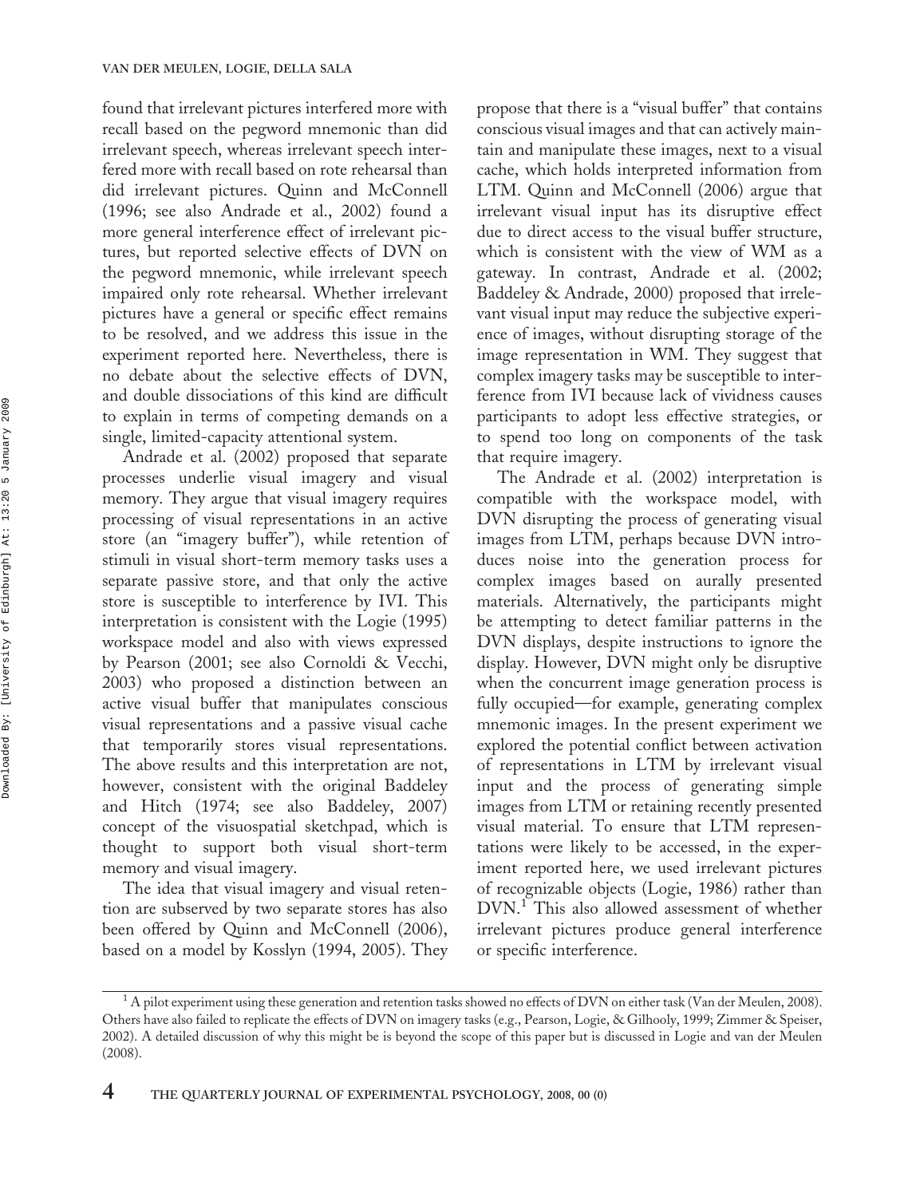found that irrelevant pictures interfered more with recall based on the pegword mnemonic than did irrelevant speech, whereas irrelevant speech interfered more with recall based on rote rehearsal than did irrelevant pictures. Quinn and McConnell (1996; see also Andrade et al., 2002) found a more general interference effect of irrelevant pictures, but reported selective effects of DVN on the pegword mnemonic, while irrelevant speech impaired only rote rehearsal. Whether irrelevant pictures have a general or specific effect remains to be resolved, and we address this issue in the experiment reported here. Nevertheless, there is no debate about the selective effects of DVN, and double dissociations of this kind are difficult to explain in terms of competing demands on a single, limited-capacity attentional system.

Andrade et al. (2002) proposed that separate processes underlie visual imagery and visual memory. They argue that visual imagery requires processing of visual representations in an active store (an "imagery buffer"), while retention of stimuli in visual short-term memory tasks uses a separate passive store, and that only the active store is susceptible to interference by IVI. This interpretation is consistent with the Logie (1995) workspace model and also with views expressed by Pearson (2001; see also Cornoldi & Vecchi, 2003) who proposed a distinction between an active visual buffer that manipulates conscious visual representations and a passive visual cache that temporarily stores visual representations. The above results and this interpretation are not, however, consistent with the original Baddeley and Hitch (1974; see also Baddeley, 2007) concept of the visuospatial sketchpad, which is thought to support both visual short-term memory and visual imagery.

The idea that visual imagery and visual retention are subserved by two separate stores has also been offered by Quinn and McConnell (2006), based on a model by Kosslyn (1994, 2005). They

propose that there is a "visual buffer" that contains conscious visual images and that can actively maintain and manipulate these images, next to a visual cache, which holds interpreted information from LTM. Quinn and McConnell (2006) argue that irrelevant visual input has its disruptive effect due to direct access to the visual buffer structure, which is consistent with the view of WM as a gateway. In contrast, Andrade et al. (2002; Baddeley & Andrade, 2000) proposed that irrelevant visual input may reduce the subjective experience of images, without disrupting storage of the image representation in WM. They suggest that complex imagery tasks may be susceptible to interference from IVI because lack of vividness causes participants to adopt less effective strategies, or to spend too long on components of the task that require imagery.

The Andrade et al. (2002) interpretation is compatible with the workspace model, with DVN disrupting the process of generating visual images from LTM, perhaps because DVN introduces noise into the generation process for complex images based on aurally presented materials. Alternatively, the participants might be attempting to detect familiar patterns in the DVN displays, despite instructions to ignore the display. However, DVN might only be disruptive when the concurrent image generation process is fully occupied—for example, generating complex mnemonic images. In the present experiment we explored the potential conflict between activation of representations in LTM by irrelevant visual input and the process of generating simple images from LTM or retaining recently presented visual material. To ensure that LTM representations were likely to be accessed, in the experiment reported here, we used irrelevant pictures of recognizable objects (Logie, 1986) rather than DVN.<sup>1</sup> This also allowed assessment of whether irrelevant pictures produce general interference or specific interference.

<sup>&</sup>lt;sup>1</sup> A pilot experiment using these generation and retention tasks showed no effects of DVN on either task (Van der Meulen, 2008). Others have also failed to replicate the effects of DVN on imagery tasks (e.g., Pearson, Logie, & Gilhooly, 1999; Zimmer & Speiser, 2002). A detailed discussion of why this might be is beyond the scope of this paper but is discussed in Logie and van der Meulen (2008).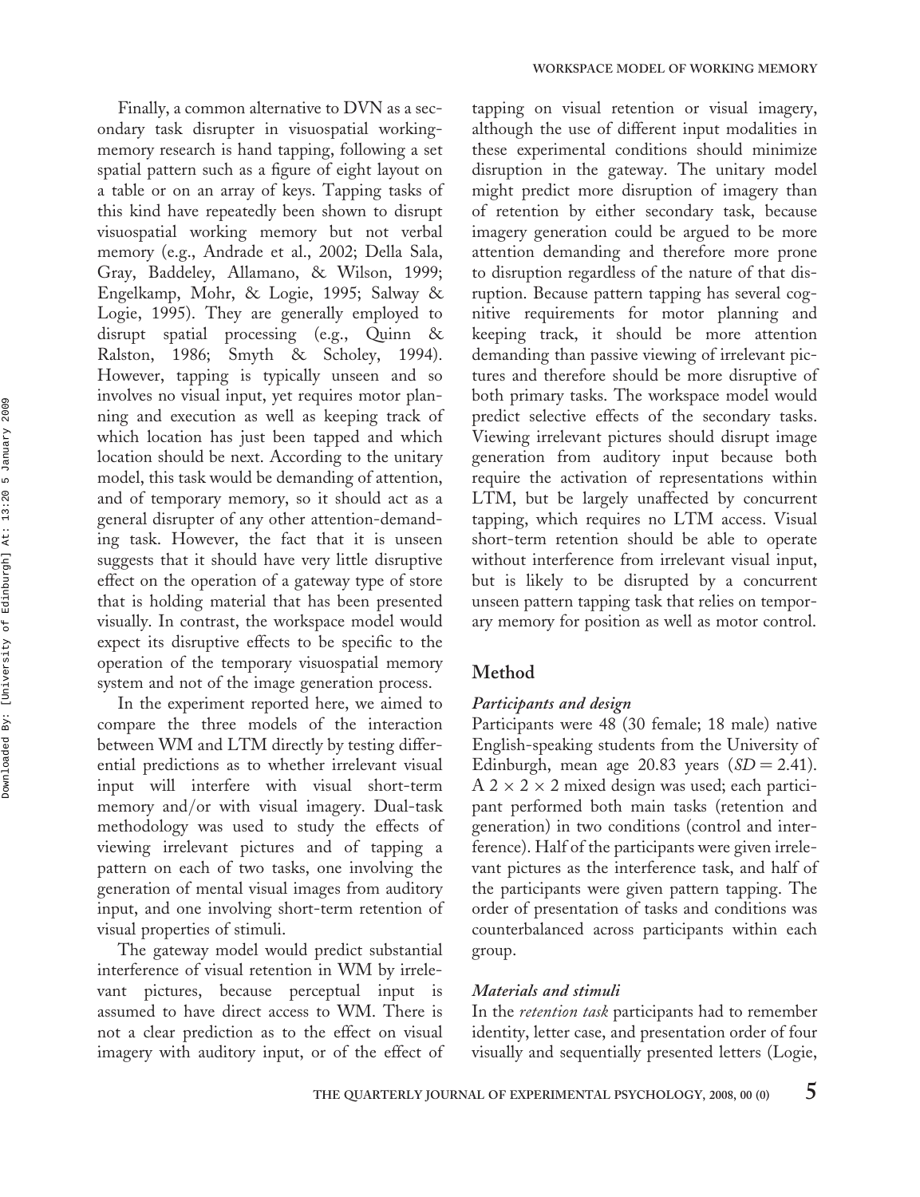Finally, a common alternative to DVN as a secondary task disrupter in visuospatial workingmemory research is hand tapping, following a set spatial pattern such as a figure of eight layout on a table or on an array of keys. Tapping tasks of this kind have repeatedly been shown to disrupt visuospatial working memory but not verbal memory (e.g., Andrade et al., 2002; Della Sala, Gray, Baddeley, Allamano, & Wilson, 1999; Engelkamp, Mohr, & Logie, 1995; Salway & Logie, 1995). They are generally employed to disrupt spatial processing (e.g., Quinn & Ralston, 1986; Smyth & Scholey, 1994). However, tapping is typically unseen and so involves no visual input, yet requires motor planning and execution as well as keeping track of which location has just been tapped and which location should be next. According to the unitary model, this task would be demanding of attention, and of temporary memory, so it should act as a general disrupter of any other attention-demanding task. However, the fact that it is unseen suggests that it should have very little disruptive effect on the operation of a gateway type of store that is holding material that has been presented visually. In contrast, the workspace model would expect its disruptive effects to be specific to the operation of the temporary visuospatial memory system and not of the image generation process.

In the experiment reported here, we aimed to compare the three models of the interaction between WM and LTM directly by testing differential predictions as to whether irrelevant visual input will interfere with visual short-term memory and/or with visual imagery. Dual-task methodology was used to study the effects of viewing irrelevant pictures and of tapping a pattern on each of two tasks, one involving the generation of mental visual images from auditory input, and one involving short-term retention of visual properties of stimuli.

The gateway model would predict substantial interference of visual retention in WM by irrelevant pictures, because perceptual input is assumed to have direct access to WM. There is not a clear prediction as to the effect on visual imagery with auditory input, or of the effect of tapping on visual retention or visual imagery, although the use of different input modalities in these experimental conditions should minimize disruption in the gateway. The unitary model might predict more disruption of imagery than of retention by either secondary task, because imagery generation could be argued to be more attention demanding and therefore more prone to disruption regardless of the nature of that disruption. Because pattern tapping has several cognitive requirements for motor planning and keeping track, it should be more attention demanding than passive viewing of irrelevant pictures and therefore should be more disruptive of both primary tasks. The workspace model would predict selective effects of the secondary tasks. Viewing irrelevant pictures should disrupt image generation from auditory input because both require the activation of representations within LTM, but be largely unaffected by concurrent tapping, which requires no LTM access. Visual short-term retention should be able to operate without interference from irrelevant visual input, but is likely to be disrupted by a concurrent unseen pattern tapping task that relies on temporary memory for position as well as motor control.

### Method

#### Participants and design

Participants were 48 (30 female; 18 male) native English-speaking students from the University of Edinburgh, mean age 20.83 years  $(SD = 2.41)$ .  $\rm A$  2  $\times$  2  $\times$  2 mixed design was used; each participant performed both main tasks (retention and generation) in two conditions (control and interference). Half of the participants were given irrelevant pictures as the interference task, and half of the participants were given pattern tapping. The order of presentation of tasks and conditions was counterbalanced across participants within each group.

#### Materials and stimuli

In the *retention task* participants had to remember identity, letter case, and presentation order of four visually and sequentially presented letters (Logie,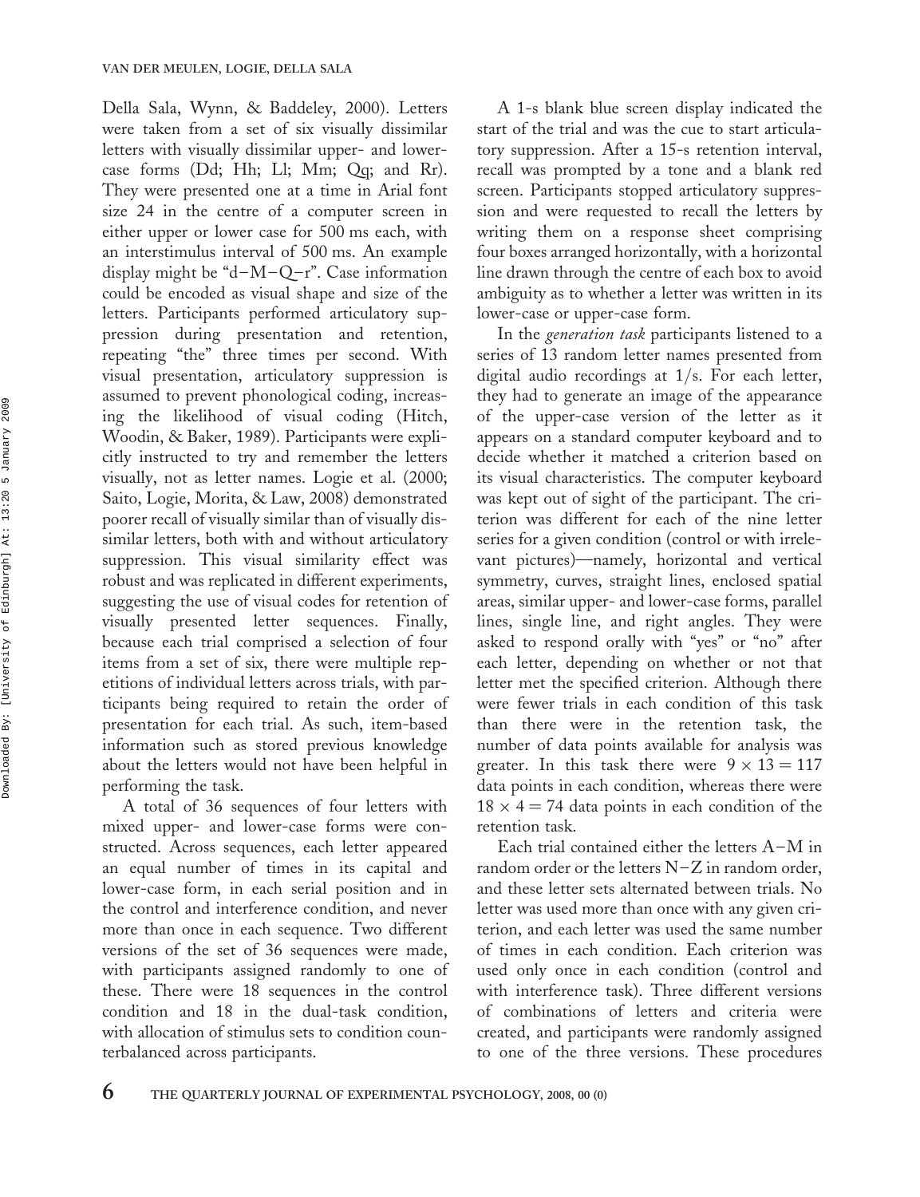Della Sala, Wynn, & Baddeley, 2000). Letters were taken from a set of six visually dissimilar letters with visually dissimilar upper- and lowercase forms (Dd; Hh; Ll; Mm; Qq; and Rr). They were presented one at a time in Arial font size 24 in the centre of a computer screen in either upper or lower case for 500 ms each, with an interstimulus interval of 500 ms. An example display might be "d $-M-Q-r$ ". Case information could be encoded as visual shape and size of the letters. Participants performed articulatory suppression during presentation and retention, repeating "the" three times per second. With visual presentation, articulatory suppression is assumed to prevent phonological coding, increasing the likelihood of visual coding (Hitch, Woodin, & Baker, 1989). Participants were explicitly instructed to try and remember the letters visually, not as letter names. Logie et al. (2000; Saito, Logie, Morita, & Law, 2008) demonstrated poorer recall of visually similar than of visually dissimilar letters, both with and without articulatory suppression. This visual similarity effect was robust and was replicated in different experiments, suggesting the use of visual codes for retention of visually presented letter sequences. Finally, because each trial comprised a selection of four items from a set of six, there were multiple repetitions of individual letters across trials, with participants being required to retain the order of presentation for each trial. As such, item-based information such as stored previous knowledge about the letters would not have been helpful in performing the task.

A total of 36 sequences of four letters with mixed upper- and lower-case forms were constructed. Across sequences, each letter appeared an equal number of times in its capital and lower-case form, in each serial position and in the control and interference condition, and never more than once in each sequence. Two different versions of the set of 36 sequences were made, with participants assigned randomly to one of these. There were 18 sequences in the control condition and 18 in the dual-task condition, with allocation of stimulus sets to condition counterbalanced across participants.

A 1-s blank blue screen display indicated the start of the trial and was the cue to start articulatory suppression. After a 15-s retention interval, recall was prompted by a tone and a blank red screen. Participants stopped articulatory suppression and were requested to recall the letters by writing them on a response sheet comprising four boxes arranged horizontally, with a horizontal line drawn through the centre of each box to avoid ambiguity as to whether a letter was written in its lower-case or upper-case form.

In the *generation task* participants listened to a series of 13 random letter names presented from digital audio recordings at 1/s. For each letter, they had to generate an image of the appearance of the upper-case version of the letter as it appears on a standard computer keyboard and to decide whether it matched a criterion based on its visual characteristics. The computer keyboard was kept out of sight of the participant. The criterion was different for each of the nine letter series for a given condition (control or with irrelevant pictures)—namely, horizontal and vertical symmetry, curves, straight lines, enclosed spatial areas, similar upper- and lower-case forms, parallel lines, single line, and right angles. They were asked to respond orally with "yes" or "no" after each letter, depending on whether or not that letter met the specified criterion. Although there were fewer trials in each condition of this task than there were in the retention task, the number of data points available for analysis was greater. In this task there were  $9 \times 13 = 117$ data points in each condition, whereas there were  $18 \times 4 = 74$  data points in each condition of the retention task.

Each trial contained either the letters  $A-M$  in random order or the letters  $N-Z$  in random order, and these letter sets alternated between trials. No letter was used more than once with any given criterion, and each letter was used the same number of times in each condition. Each criterion was used only once in each condition (control and with interference task). Three different versions of combinations of letters and criteria were created, and participants were randomly assigned to one of the three versions. These procedures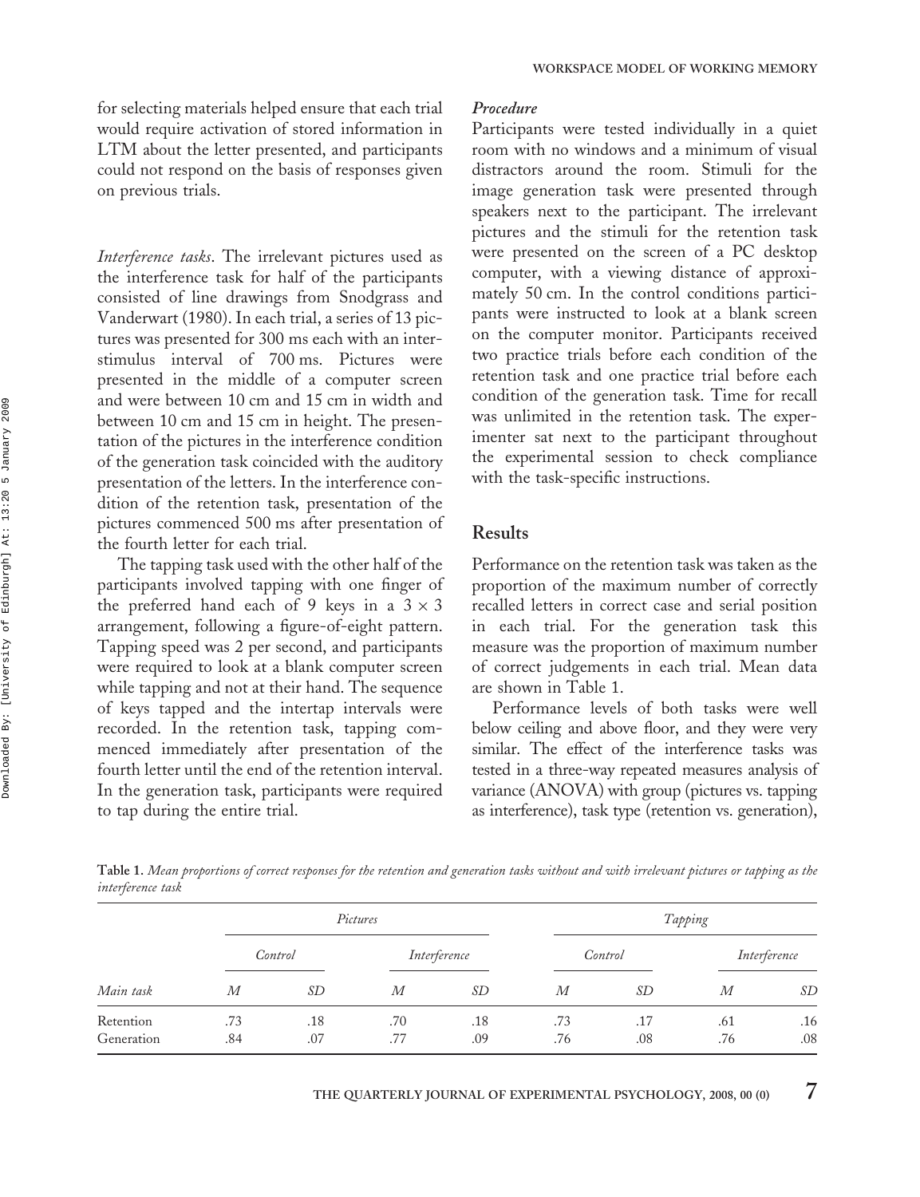for selecting materials helped ensure that each trial would require activation of stored information in LTM about the letter presented, and participants could not respond on the basis of responses given on previous trials.

Interference tasks. The irrelevant pictures used as the interference task for half of the participants consisted of line drawings from Snodgrass and Vanderwart (1980). In each trial, a series of 13 pictures was presented for 300 ms each with an interstimulus interval of 700 ms. Pictures were presented in the middle of a computer screen and were between 10 cm and 15 cm in width and between 10 cm and 15 cm in height. The presentation of the pictures in the interference condition of the generation task coincided with the auditory presentation of the letters. In the interference condition of the retention task, presentation of the pictures commenced 500 ms after presentation of the fourth letter for each trial.

The tapping task used with the other half of the participants involved tapping with one finger of the preferred hand each of 9 keys in a  $3 \times 3$ arrangement, following a figure-of-eight pattern. Tapping speed was 2 per second, and participants were required to look at a blank computer screen while tapping and not at their hand. The sequence of keys tapped and the intertap intervals were recorded. In the retention task, tapping commenced immediately after presentation of the fourth letter until the end of the retention interval. In the generation task, participants were required to tap during the entire trial.

#### Procedure

Participants were tested individually in a quiet room with no windows and a minimum of visual distractors around the room. Stimuli for the image generation task were presented through speakers next to the participant. The irrelevant pictures and the stimuli for the retention task were presented on the screen of a PC desktop computer, with a viewing distance of approximately 50 cm. In the control conditions participants were instructed to look at a blank screen on the computer monitor. Participants received two practice trials before each condition of the retention task and one practice trial before each condition of the generation task. Time for recall was unlimited in the retention task. The experimenter sat next to the participant throughout the experimental session to check compliance with the task-specific instructions.

#### Results

Performance on the retention task was taken as the proportion of the maximum number of correctly recalled letters in correct case and serial position in each trial. For the generation task this measure was the proportion of maximum number of correct judgements in each trial. Mean data are shown in Table 1.

Performance levels of both tasks were well below ceiling and above floor, and they were very similar. The effect of the interference tasks was tested in a three-way repeated measures analysis of variance (ANOVA) with group (pictures vs. tapping as interference), task type (retention vs. generation),

Table 1. Mean proportions of correct responses for the retention and generation tasks without and with irrelevant pictures or tapping as the interference task

| Main task               | Pictures         |            |              |            | Tapping          |            |              |            |
|-------------------------|------------------|------------|--------------|------------|------------------|------------|--------------|------------|
|                         | Control          |            | Interference |            | Control          |            | Interference |            |
|                         | $\boldsymbol{M}$ | SD         | $_{M}$       | SD         | $\boldsymbol{M}$ | SD         | М            | SD         |
| Retention<br>Generation | .73<br>.84       | .18<br>.07 | .70<br>.77   | .18<br>.09 | .73<br>.76       | .17<br>.08 | .61<br>.76   | .16<br>.08 |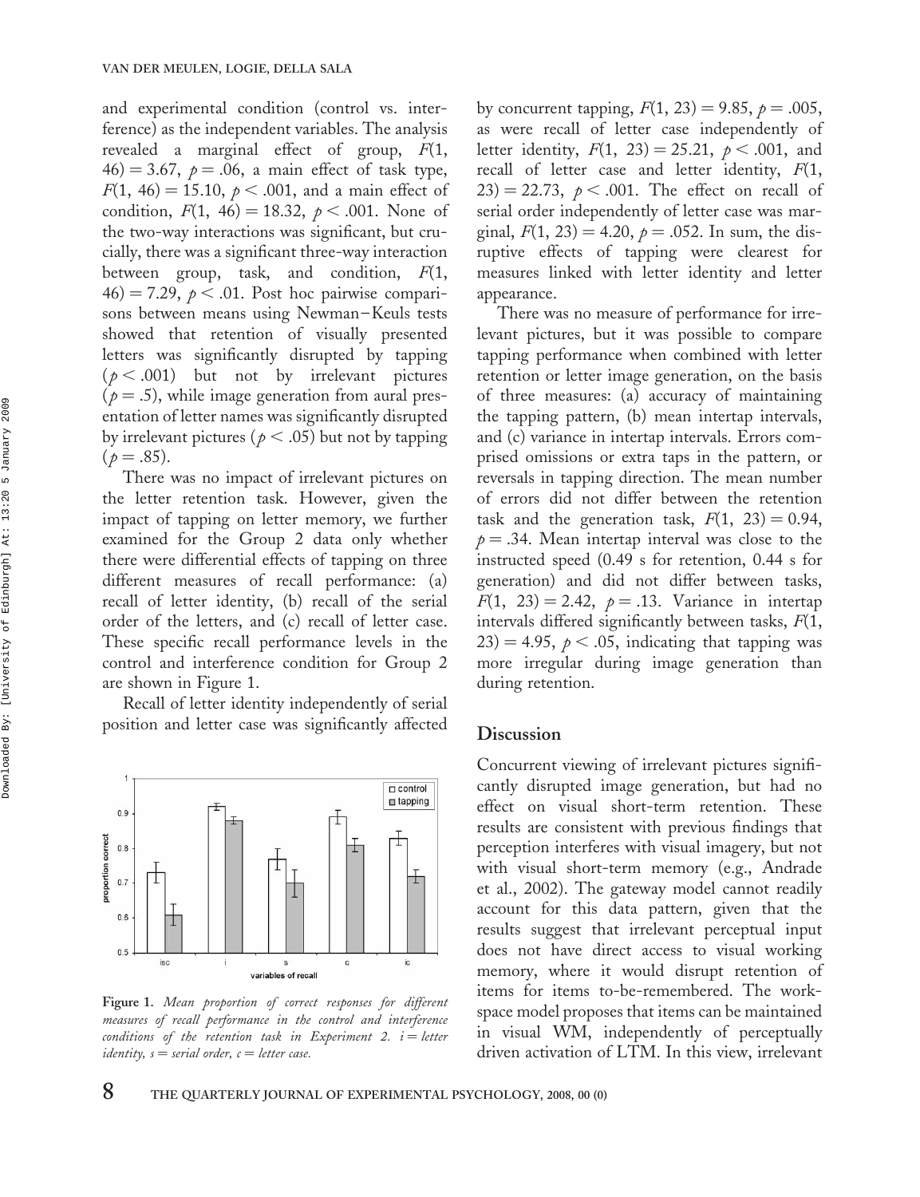and experimental condition (control vs. interference) as the independent variables. The analysis revealed a marginal effect of group,  $F(1,$  $46$ ) = 3.67,  $p = .06$ , a main effect of task type,  $F(1, 46) = 15.10, p < .001$ , and a main effect of condition,  $F(1, 46) = 18.32, \ p < .001$ . None of the two-way interactions was significant, but crucially, there was a significant three-way interaction between group, task, and condition,  $F(1,$  $(46) = 7.29$ ,  $p < .01$ . Post hoc pairwise comparisons between means using Newman-Keuls tests showed that retention of visually presented letters was significantly disrupted by tapping  $(p < .001)$  but not by irrelevant pictures  $(p = .5)$ , while image generation from aural presentation of letter names was significantly disrupted by irrelevant pictures ( $p < .05$ ) but not by tapping  $(p = .85)$ .

There was no impact of irrelevant pictures on the letter retention task. However, given the impact of tapping on letter memory, we further examined for the Group 2 data only whether there were differential effects of tapping on three different measures of recall performance: (a) recall of letter identity, (b) recall of the serial order of the letters, and (c) recall of letter case. These specific recall performance levels in the control and interference condition for Group 2 are shown in Figure 1.

Recall of letter identity independently of serial position and letter case was significantly affected



Figure 1. Mean proportion of correct responses for different measures of recall performance in the control and interference conditions of the retention task in Experiment 2.  $i =$  letter identity,  $s = \text{serial order}, c = \text{letter case}.$ 

by concurrent tapping,  $F(1, 23) = 9.85$ ,  $p = .005$ , as were recall of letter case independently of letter identity,  $F(1, 23) = 25.21, \ p < .001, \text{ and}$ recall of letter case and letter identity,  $F(1,$ 23) = 22.73,  $p < .001$ . The effect on recall of serial order independently of letter case was marginal,  $F(1, 23) = 4.20$ ,  $p = .052$ . In sum, the disruptive effects of tapping were clearest for measures linked with letter identity and letter appearance.

There was no measure of performance for irrelevant pictures, but it was possible to compare tapping performance when combined with letter retention or letter image generation, on the basis of three measures: (a) accuracy of maintaining the tapping pattern, (b) mean intertap intervals, and (c) variance in intertap intervals. Errors comprised omissions or extra taps in the pattern, or reversals in tapping direction. The mean number of errors did not differ between the retention task and the generation task,  $F(1, 23) = 0.94$ ,  $p = .34$ . Mean intertap interval was close to the instructed speed (0.49 s for retention, 0.44 s for generation) and did not differ between tasks,  $F(1, 23) = 2.42, p = .13.$  Variance in intertap intervals differed significantly between tasks,  $F(1,$  $(23) = 4.95$ ,  $p < .05$ , indicating that tapping was more irregular during image generation than during retention.

#### **Discussion**

Concurrent viewing of irrelevant pictures significantly disrupted image generation, but had no effect on visual short-term retention. These results are consistent with previous findings that perception interferes with visual imagery, but not with visual short-term memory (e.g., Andrade et al., 2002). The gateway model cannot readily account for this data pattern, given that the results suggest that irrelevant perceptual input does not have direct access to visual working memory, where it would disrupt retention of items for items to-be-remembered. The workspace model proposes that items can be maintained in visual WM, independently of perceptually driven activation of LTM. In this view, irrelevant

2009

5 January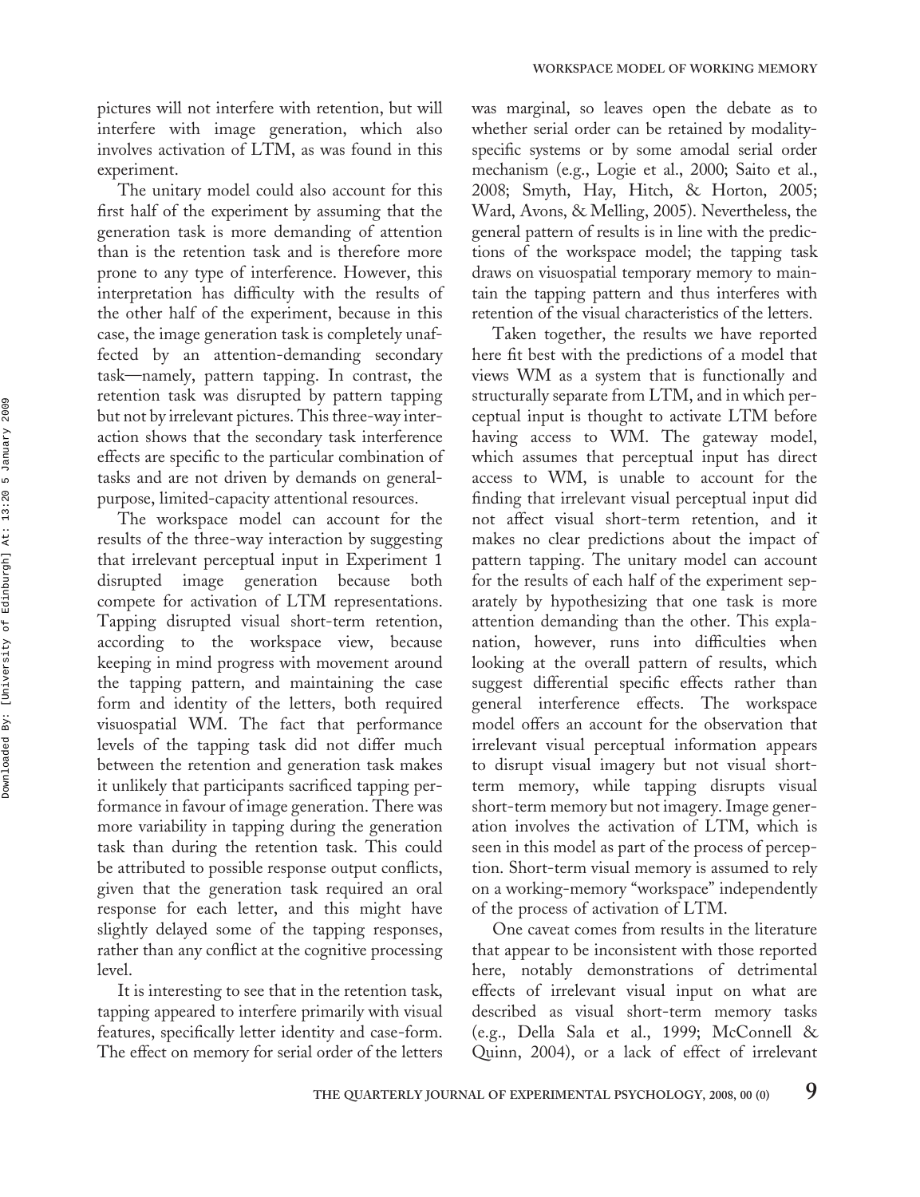pictures will not interfere with retention, but will interfere with image generation, which also involves activation of LTM, as was found in this experiment.

The unitary model could also account for this first half of the experiment by assuming that the generation task is more demanding of attention than is the retention task and is therefore more prone to any type of interference. However, this interpretation has difficulty with the results of the other half of the experiment, because in this case, the image generation task is completely unaffected by an attention-demanding secondary task—namely, pattern tapping. In contrast, the retention task was disrupted by pattern tapping but not by irrelevant pictures. This three-way interaction shows that the secondary task interference effects are specific to the particular combination of tasks and are not driven by demands on generalpurpose, limited-capacity attentional resources.

The workspace model can account for the results of the three-way interaction by suggesting that irrelevant perceptual input in Experiment 1 disrupted image generation because both compete for activation of LTM representations. Tapping disrupted visual short-term retention, according to the workspace view, because keeping in mind progress with movement around the tapping pattern, and maintaining the case form and identity of the letters, both required visuospatial WM. The fact that performance levels of the tapping task did not differ much between the retention and generation task makes it unlikely that participants sacrificed tapping performance in favour of image generation. There was more variability in tapping during the generation task than during the retention task. This could be attributed to possible response output conflicts, given that the generation task required an oral response for each letter, and this might have slightly delayed some of the tapping responses, rather than any conflict at the cognitive processing level.

It is interesting to see that in the retention task, tapping appeared to interfere primarily with visual features, specifically letter identity and case-form. The effect on memory for serial order of the letters was marginal, so leaves open the debate as to whether serial order can be retained by modalityspecific systems or by some amodal serial order mechanism (e.g., Logie et al., 2000; Saito et al., 2008; Smyth, Hay, Hitch, & Horton, 2005; Ward, Avons, & Melling, 2005). Nevertheless, the general pattern of results is in line with the predictions of the workspace model; the tapping task draws on visuospatial temporary memory to maintain the tapping pattern and thus interferes with retention of the visual characteristics of the letters.

Taken together, the results we have reported here fit best with the predictions of a model that views WM as a system that is functionally and structurally separate from LTM, and in which perceptual input is thought to activate LTM before having access to WM. The gateway model, which assumes that perceptual input has direct access to WM, is unable to account for the finding that irrelevant visual perceptual input did not affect visual short-term retention, and it makes no clear predictions about the impact of pattern tapping. The unitary model can account for the results of each half of the experiment separately by hypothesizing that one task is more attention demanding than the other. This explanation, however, runs into difficulties when looking at the overall pattern of results, which suggest differential specific effects rather than general interference effects. The workspace model offers an account for the observation that irrelevant visual perceptual information appears to disrupt visual imagery but not visual shortterm memory, while tapping disrupts visual short-term memory but not imagery. Image generation involves the activation of LTM, which is seen in this model as part of the process of perception. Short-term visual memory is assumed to rely on a working-memory "workspace" independently of the process of activation of LTM.

One caveat comes from results in the literature that appear to be inconsistent with those reported here, notably demonstrations of detrimental effects of irrelevant visual input on what are described as visual short-term memory tasks (e.g., Della Sala et al., 1999; McConnell & Quinn, 2004), or a lack of effect of irrelevant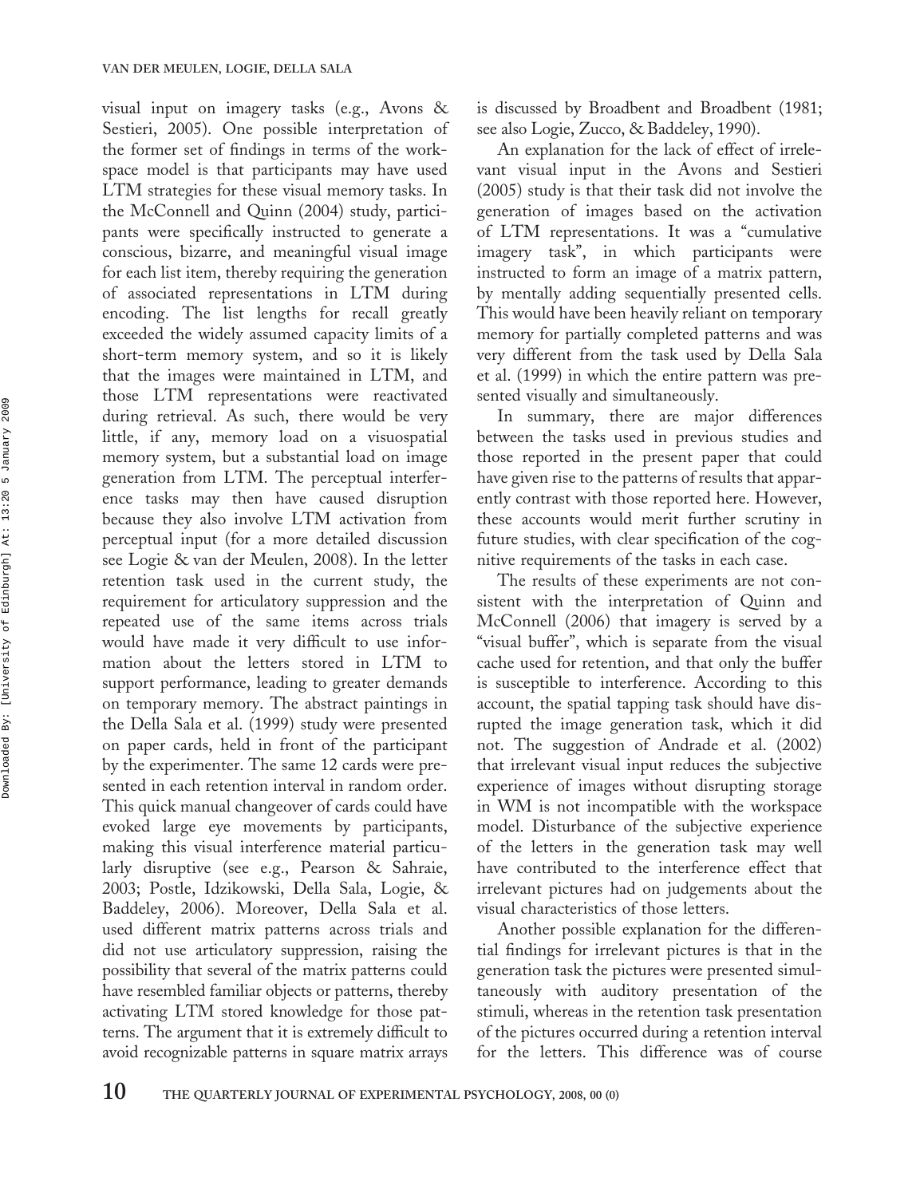visual input on imagery tasks (e.g., Avons & Sestieri, 2005). One possible interpretation of the former set of findings in terms of the workspace model is that participants may have used LTM strategies for these visual memory tasks. In the McConnell and Quinn (2004) study, participants were specifically instructed to generate a conscious, bizarre, and meaningful visual image for each list item, thereby requiring the generation of associated representations in LTM during encoding. The list lengths for recall greatly exceeded the widely assumed capacity limits of a short-term memory system, and so it is likely that the images were maintained in LTM, and those LTM representations were reactivated during retrieval. As such, there would be very little, if any, memory load on a visuospatial memory system, but a substantial load on image generation from LTM. The perceptual interference tasks may then have caused disruption because they also involve LTM activation from perceptual input (for a more detailed discussion see Logie & van der Meulen, 2008). In the letter retention task used in the current study, the requirement for articulatory suppression and the repeated use of the same items across trials would have made it very difficult to use information about the letters stored in LTM to support performance, leading to greater demands on temporary memory. The abstract paintings in the Della Sala et al. (1999) study were presented on paper cards, held in front of the participant by the experimenter. The same 12 cards were presented in each retention interval in random order. This quick manual changeover of cards could have evoked large eye movements by participants, making this visual interference material particularly disruptive (see e.g., Pearson & Sahraie, 2003; Postle, Idzikowski, Della Sala, Logie, & Baddeley, 2006). Moreover, Della Sala et al. used different matrix patterns across trials and did not use articulatory suppression, raising the possibility that several of the matrix patterns could have resembled familiar objects or patterns, thereby activating LTM stored knowledge for those patterns. The argument that it is extremely difficult to avoid recognizable patterns in square matrix arrays

is discussed by Broadbent and Broadbent (1981; see also Logie, Zucco, & Baddeley, 1990).

An explanation for the lack of effect of irrelevant visual input in the Avons and Sestieri (2005) study is that their task did not involve the generation of images based on the activation of LTM representations. It was a "cumulative imagery task", in which participants were instructed to form an image of a matrix pattern, by mentally adding sequentially presented cells. This would have been heavily reliant on temporary memory for partially completed patterns and was very different from the task used by Della Sala et al. (1999) in which the entire pattern was presented visually and simultaneously.

In summary, there are major differences between the tasks used in previous studies and those reported in the present paper that could have given rise to the patterns of results that apparently contrast with those reported here. However, these accounts would merit further scrutiny in future studies, with clear specification of the cognitive requirements of the tasks in each case.

The results of these experiments are not consistent with the interpretation of Quinn and McConnell (2006) that imagery is served by a "visual buffer", which is separate from the visual cache used for retention, and that only the buffer is susceptible to interference. According to this account, the spatial tapping task should have disrupted the image generation task, which it did not. The suggestion of Andrade et al. (2002) that irrelevant visual input reduces the subjective experience of images without disrupting storage in WM is not incompatible with the workspace model. Disturbance of the subjective experience of the letters in the generation task may well have contributed to the interference effect that irrelevant pictures had on judgements about the visual characteristics of those letters.

Another possible explanation for the differential findings for irrelevant pictures is that in the generation task the pictures were presented simultaneously with auditory presentation of the stimuli, whereas in the retention task presentation of the pictures occurred during a retention interval for the letters. This difference was of course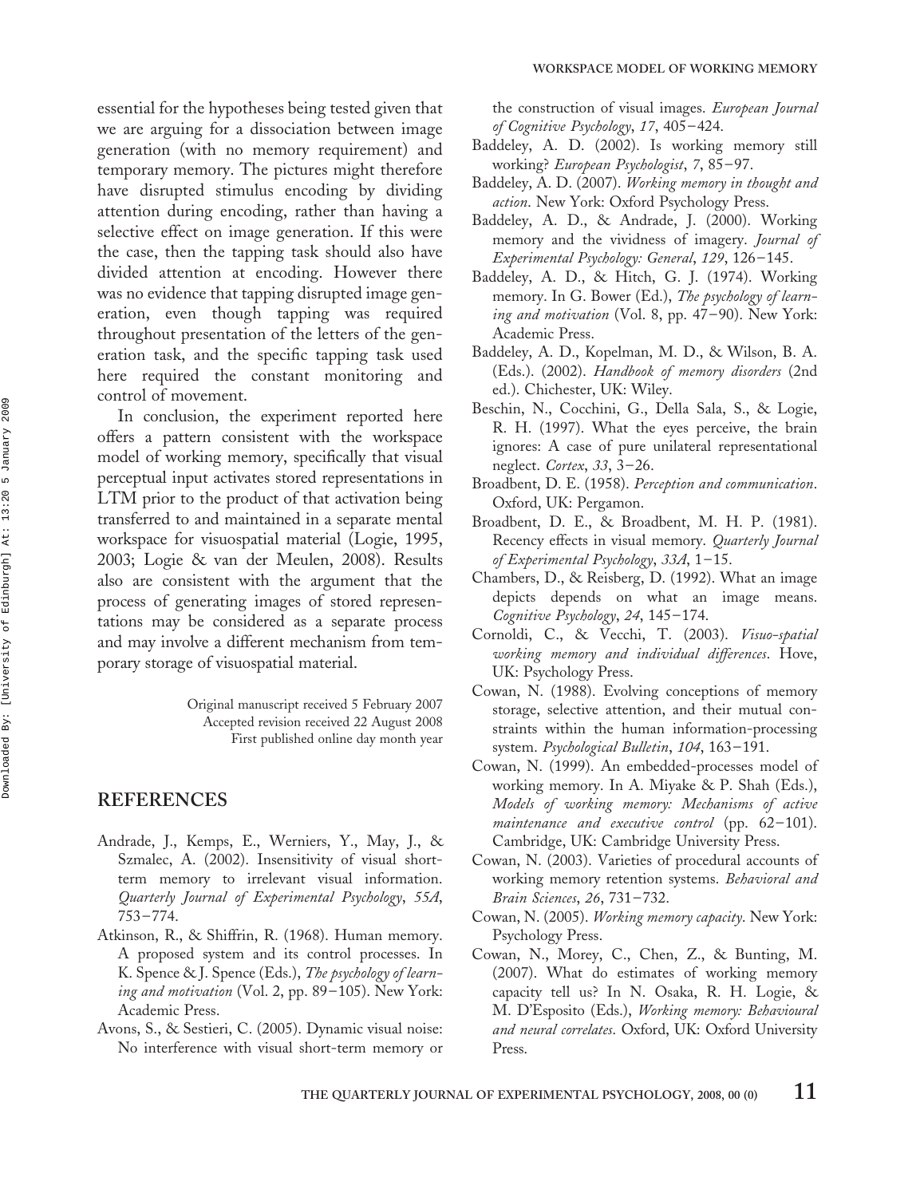essential for the hypotheses being tested given that we are arguing for a dissociation between image generation (with no memory requirement) and temporary memory. The pictures might therefore have disrupted stimulus encoding by dividing attention during encoding, rather than having a selective effect on image generation. If this were the case, then the tapping task should also have divided attention at encoding. However there was no evidence that tapping disrupted image generation, even though tapping was required throughout presentation of the letters of the generation task, and the specific tapping task used here required the constant monitoring and control of movement.

In conclusion, the experiment reported here offers a pattern consistent with the workspace model of working memory, specifically that visual perceptual input activates stored representations in LTM prior to the product of that activation being transferred to and maintained in a separate mental workspace for visuospatial material (Logie, 1995, 2003; Logie & van der Meulen, 2008). Results also are consistent with the argument that the process of generating images of stored representations may be considered as a separate process and may involve a different mechanism from temporary storage of visuospatial material.

> Original manuscript received 5 February 2007 Accepted revision received 22 August 2008 First published online day month year

## REFERENCES

- Andrade, J., Kemps, E., Werniers, Y., May, J., & Szmalec, A. (2002). Insensitivity of visual shortterm memory to irrelevant visual information. Quarterly Journal of Experimental Psychology, 55A, 753– 774.
- Atkinson, R., & Shiffrin, R. (1968). Human memory. A proposed system and its control processes. In K. Spence & J. Spence (Eds.), The psychology of learning and motivation (Vol. 2, pp. 89-105). New York: Academic Press.
- Avons, S., & Sestieri, C. (2005). Dynamic visual noise: No interference with visual short-term memory or

the construction of visual images. European Journal of Cognitive Psychology, 17, 405–424.

- Baddeley, A. D. (2002). Is working memory still working? European Psychologist, 7, 85-97.
- Baddeley, A. D. (2007). Working memory in thought and action. New York: Oxford Psychology Press.
- Baddeley, A. D., & Andrade, J. (2000). Working memory and the vividness of imagery. Journal of Experimental Psychology: General, 129, 126– 145.
- Baddeley, A. D., & Hitch, G. J. (1974). Working memory. In G. Bower (Ed.), The psychology of learning and motivation (Vol. 8, pp. 47-90). New York: Academic Press.
- Baddeley, A. D., Kopelman, M. D., & Wilson, B. A. (Eds.). (2002). Handbook of memory disorders (2nd ed.). Chichester, UK: Wiley.
- Beschin, N., Cocchini, G., Della Sala, S., & Logie, R. H. (1997). What the eyes perceive, the brain ignores: A case of pure unilateral representational neglect. Cortex,  $33, 3-26$ .
- Broadbent, D. E. (1958). Perception and communication. Oxford, UK: Pergamon.
- Broadbent, D. E., & Broadbent, M. H. P. (1981). Recency effects in visual memory. Quarterly Journal of Experimental Psychology,  $33A$ ,  $1-15$ .
- Chambers, D., & Reisberg, D. (1992). What an image depicts depends on what an image means. Cognitive Psychology, 24, 145-174.
- Cornoldi, C., & Vecchi, T. (2003). Visuo-spatial working memory and individual differences. Hove, UK: Psychology Press.
- Cowan, N. (1988). Evolving conceptions of memory storage, selective attention, and their mutual constraints within the human information-processing system. Psychological Bulletin, 104, 163-191.
- Cowan, N. (1999). An embedded-processes model of working memory. In A. Miyake & P. Shah (Eds.), Models of working memory: Mechanisms of active maintenance and executive control (pp.  $62-101$ ). Cambridge, UK: Cambridge University Press.
- Cowan, N. (2003). Varieties of procedural accounts of working memory retention systems. Behavioral and Brain Sciences, 26, 731– 732.
- Cowan, N. (2005). Working memory capacity. New York: Psychology Press.
- Cowan, N., Morey, C., Chen, Z., & Bunting, M. (2007). What do estimates of working memory capacity tell us? In N. Osaka, R. H. Logie, & M. D'Esposito (Eds.), Working memory: Behavioural and neural correlates. Oxford, UK: Oxford University Press.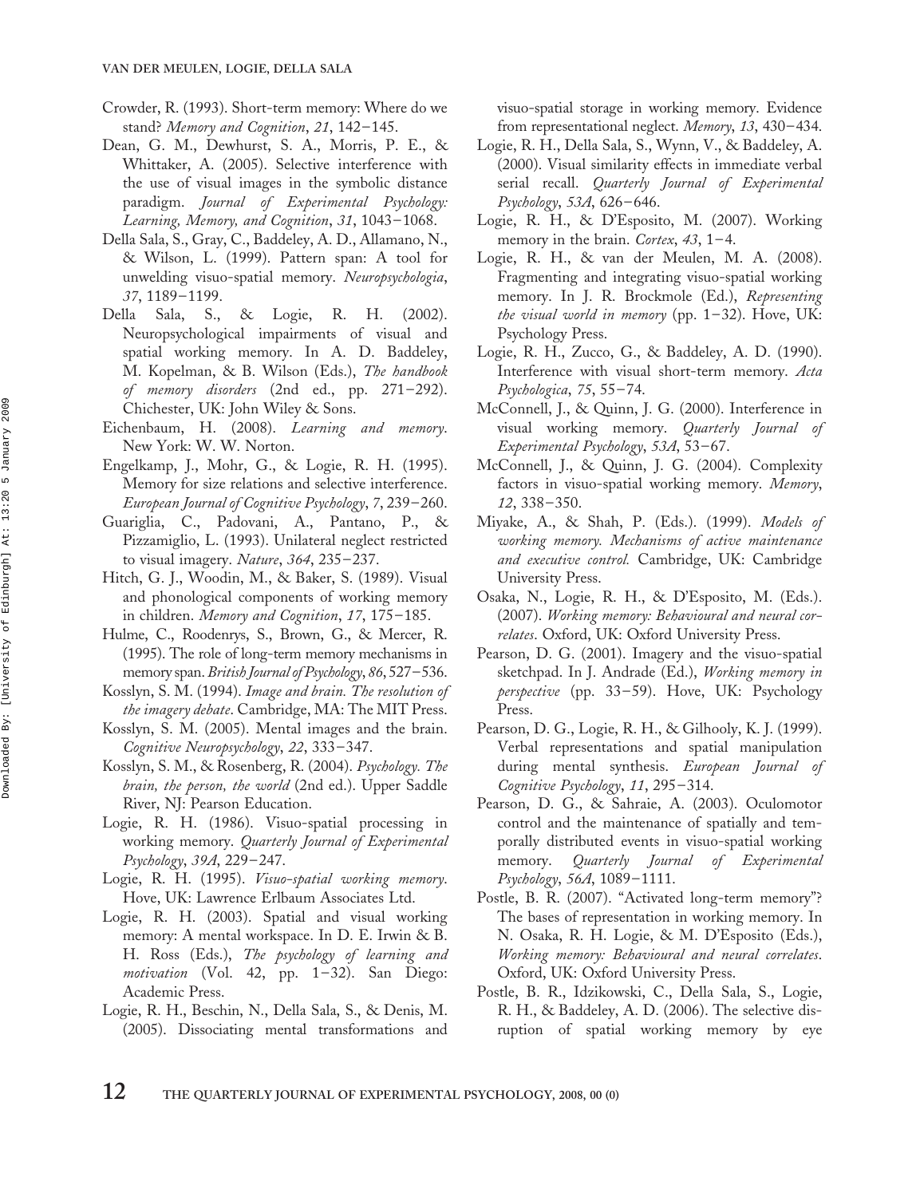- Crowder, R. (1993). Short-term memory: Where do we stand? Memory and Cognition, 21, 142-145.
- Dean, G. M., Dewhurst, S. A., Morris, P. E., & Whittaker, A. (2005). Selective interference with the use of visual images in the symbolic distance paradigm. Journal of Experimental Psychology: Learning, Memory, and Cognition, 31, 1043-1068.
- Della Sala, S., Gray, C., Baddeley, A. D., Allamano, N., & Wilson, L. (1999). Pattern span: A tool for unwelding visuo-spatial memory. Neuropsychologia, 37, 1189– 1199.
- Della Sala, S., & Logie, R. H. (2002). Neuropsychological impairments of visual and spatial working memory. In A. D. Baddeley, M. Kopelman, & B. Wilson (Eds.), The handbook of memory disorders (2nd ed., pp. 271–292). Chichester, UK: John Wiley & Sons.
- Eichenbaum, H. (2008). Learning and memory. New York: W. W. Norton.
- Engelkamp, J., Mohr, G., & Logie, R. H. (1995). Memory for size relations and selective interference. European Journal of Cognitive Psychology, 7, 239– 260.
- Guariglia, C., Padovani, A., Pantano, P., & Pizzamiglio, L. (1993). Unilateral neglect restricted to visual imagery. Nature,  $364$ ,  $235-237$ .
- Hitch, G. J., Woodin, M., & Baker, S. (1989). Visual and phonological components of working memory in children. Memory and Cognition, 17, 175-185.
- Hulme, C., Roodenrys, S., Brown, G., & Mercer, R. (1995). The role of long-term memory mechanisms in memory span. British Journal of Psychology, 86, 527–536.
- Kosslyn, S. M. (1994). Image and brain. The resolution of the imagery debate. Cambridge, MA: The MIT Press.
- Kosslyn, S. M. (2005). Mental images and the brain. Cognitive Neuropsychology, 22, 333– 347.
- Kosslyn, S. M., & Rosenberg, R. (2004). Psychology. The brain, the person, the world (2nd ed.). Upper Saddle River, NJ: Pearson Education.
- Logie, R. H. (1986). Visuo-spatial processing in working memory. Quarterly Journal of Experimental Psychology, 39A, 229-247.
- Logie, R. H. (1995). Visuo-spatial working memory. Hove, UK: Lawrence Erlbaum Associates Ltd.
- Logie, R. H. (2003). Spatial and visual working memory: A mental workspace. In D. E. Irwin & B. H. Ross (Eds.), The psychology of learning and motivation (Vol. 42, pp. 1-32). San Diego: Academic Press.
- Logie, R. H., Beschin, N., Della Sala, S., & Denis, M. (2005). Dissociating mental transformations and

visuo-spatial storage in working memory. Evidence from representational neglect. Memory, 13, 430–434.

- Logie, R. H., Della Sala, S., Wynn, V., & Baddeley, A. (2000). Visual similarity effects in immediate verbal serial recall. Quarterly Journal of Experimental  $P<sub>s</sub>$ ychology, 53A, 626–646.
- Logie, R. H., & D'Esposito, M. (2007). Working memory in the brain. *Cortex*,  $43$ ,  $1-4$ .
- Logie, R. H., & van der Meulen, M. A. (2008). Fragmenting and integrating visuo-spatial working memory. In J. R. Brockmole (Ed.), Representing the visual world in memory (pp.  $1-32$ ). Hove, UK: Psychology Press.
- Logie, R. H., Zucco, G., & Baddeley, A. D. (1990). Interference with visual short-term memory. Acta Psychologica, 75, 55 –74.
- McConnell, J., & Quinn, J. G. (2000). Interference in visual working memory. Quarterly Journal of Experimental Psychology, 53A, 53-67.
- McConnell, J., & Quinn, J. G. (2004). Complexity factors in visuo-spatial working memory. Memory, 12, 338– 350.
- Miyake, A., & Shah, P. (Eds.). (1999). Models of working memory. Mechanisms of active maintenance and executive control. Cambridge, UK: Cambridge University Press.
- Osaka, N., Logie, R. H., & D'Esposito, M. (Eds.). (2007). Working memory: Behavioural and neural correlates. Oxford, UK: Oxford University Press.
- Pearson, D. G. (2001). Imagery and the visuo-spatial sketchpad. In J. Andrade (Ed.), Working memory in perspective (pp. 33-59). Hove, UK: Psychology Press.
- Pearson, D. G., Logie, R. H., & Gilhooly, K. J. (1999). Verbal representations and spatial manipulation during mental synthesis. European Journal of Cognitive Psychology, 11, 295– 314.
- Pearson, D. G., & Sahraie, A. (2003). Oculomotor control and the maintenance of spatially and temporally distributed events in visuo-spatial working memory. Quarterly Journal of Experimental Psychology, 56A, 1089-1111.
- Postle, B. R. (2007). "Activated long-term memory"? The bases of representation in working memory. In N. Osaka, R. H. Logie, & M. D'Esposito (Eds.), Working memory: Behavioural and neural correlates. Oxford, UK: Oxford University Press.
- Postle, B. R., Idzikowski, C., Della Sala, S., Logie, R. H., & Baddeley, A. D. (2006). The selective disruption of spatial working memory by eye